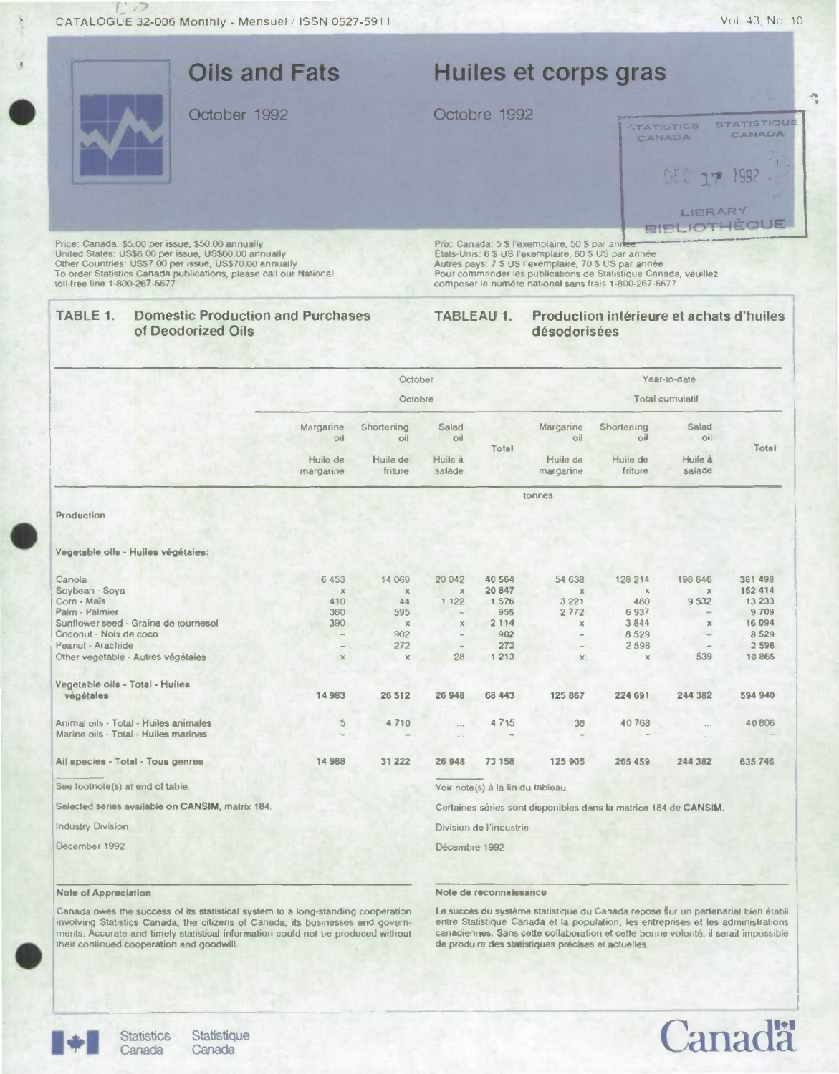|                                                                                                                                                                                                                                                                             |                                                                | <b>Oils and Fats</b>  |                     |                      |                | Huiles et corps gras                            |                                                                                                                                                                                                                                           |                                |                                      |
|-----------------------------------------------------------------------------------------------------------------------------------------------------------------------------------------------------------------------------------------------------------------------------|----------------------------------------------------------------|-----------------------|---------------------|----------------------|----------------|-------------------------------------------------|-------------------------------------------------------------------------------------------------------------------------------------------------------------------------------------------------------------------------------------------|--------------------------------|--------------------------------------|
|                                                                                                                                                                                                                                                                             | October 1992                                                   |                       |                     |                      | Octobre 1992   |                                                 |                                                                                                                                                                                                                                           | <b>STATISTICS</b>              | <b>STATISTIQUE</b>                   |
|                                                                                                                                                                                                                                                                             |                                                                |                       |                     |                      |                |                                                 |                                                                                                                                                                                                                                           | CANADA                         | CANADA                               |
|                                                                                                                                                                                                                                                                             |                                                                |                       |                     |                      |                |                                                 |                                                                                                                                                                                                                                           | <b>DEC 17 1992</b>             |                                      |
|                                                                                                                                                                                                                                                                             |                                                                |                       |                     |                      |                |                                                 |                                                                                                                                                                                                                                           | LIERARY<br><b>BIBLIOTHEQUE</b> |                                      |
| Price: Canada: \$5.00 per issue, \$50.00 annually<br>United States: US\$6.00 per issue, US\$60.00 annually<br>Other Countries: US\$7.00 per issue, US\$70.00 annually<br>To order Statistics Canada publications, please call our National<br>toll-free line 1-800-267-6677 |                                                                |                       |                     |                      |                | Prix: Canada: 5 \$ l'exemplaire, 50 \$ par anne | États-Unis: 6 \$ US l'exemplaire, 60 \$ US par année<br>Autres pays: 7 \$ US l'exemplaire, 70 \$ US par année<br>Pour commander les publications de Statistique Canada, veuillez<br>composer le numéro national sans frais 1-800-267-6677 |                                |                                      |
| TABLE 1.                                                                                                                                                                                                                                                                    | <b>Domestic Production and Purchases</b><br>of Deodorized Oils |                       |                     |                      | TABLEAU 1.     | désodorisées                                    | Production intérieure et achats d'huiles                                                                                                                                                                                                  |                                |                                      |
|                                                                                                                                                                                                                                                                             |                                                                |                       | October             |                      |                |                                                 | Year-to-date                                                                                                                                                                                                                              |                                |                                      |
|                                                                                                                                                                                                                                                                             |                                                                |                       | Octobre             |                      |                |                                                 | Total cumulatif                                                                                                                                                                                                                           |                                |                                      |
|                                                                                                                                                                                                                                                                             |                                                                | Margarine<br>oil      | Shortening<br>oil   | Salad<br>oil         | Total          | Margarine<br>oil                                | Shortening<br>oil                                                                                                                                                                                                                         | Salad<br>O                     | Total                                |
|                                                                                                                                                                                                                                                                             |                                                                | Huile de<br>margarine | Huile de            | Huile à<br>salade    |                | Huile de                                        | Huile de                                                                                                                                                                                                                                  | Huile à                        |                                      |
|                                                                                                                                                                                                                                                                             |                                                                |                       | friture             |                      |                | margarine                                       | friture                                                                                                                                                                                                                                   | salade                         |                                      |
|                                                                                                                                                                                                                                                                             |                                                                |                       |                     |                      |                | tonnes                                          |                                                                                                                                                                                                                                           |                                |                                      |
| Production                                                                                                                                                                                                                                                                  |                                                                |                       |                     |                      |                |                                                 |                                                                                                                                                                                                                                           |                                |                                      |
| Vegetable olls - Huiles végétaies:                                                                                                                                                                                                                                          |                                                                |                       |                     |                      |                |                                                 |                                                                                                                                                                                                                                           |                                |                                      |
| Canola                                                                                                                                                                                                                                                                      |                                                                | 6 4 5 3               | 14 069              | 20 042               | 40 5 64        | 54 638                                          | 128 214                                                                                                                                                                                                                                   | 198 646                        |                                      |
| Soybean - Soya                                                                                                                                                                                                                                                              |                                                                | $\pmb{\times}$        | $\mathbb X$         | $\rm X$              | 20 847         | $\mathbb X$                                     | $\mathbb X$                                                                                                                                                                                                                               | $\mathbb X$                    |                                      |
| Corn - Mais<br>Palm - Palmier                                                                                                                                                                                                                                               |                                                                | 410<br>360            | 44<br>595           | 1 1 2 2              | 1 576<br>955   | 3 2 2 1<br>2772                                 | 480<br>6 9 3 7                                                                                                                                                                                                                            | 9 5 3 2                        | 381 498<br>152 414<br>13 233<br>9709 |
| Sunflower seed - Graine de tournesol                                                                                                                                                                                                                                        |                                                                | 390                   | $\mathbb X$         | ×                    | 2 1 1 4        | $\chi$                                          | 3844                                                                                                                                                                                                                                      | $\times$                       | 16 094                               |
| Coconut - Noix de coco                                                                                                                                                                                                                                                      |                                                                |                       | 902                 |                      | 902            |                                                 | 8529                                                                                                                                                                                                                                      |                                | 8 5 2 9                              |
| Peanut - Arachide<br>Other vegetable - Autres végétaies                                                                                                                                                                                                                     |                                                                | $\mathbf{x}$          | 272<br>$\mathbf{Y}$ | 28                   | 272<br>1 2 1 3 | $\mathbf x$                                     | 2 5 9 8<br>$\mathbf x$                                                                                                                                                                                                                    | 539                            |                                      |
| Vegetable oils - Total - Huiles                                                                                                                                                                                                                                             |                                                                |                       |                     |                      |                |                                                 |                                                                                                                                                                                                                                           |                                |                                      |
| végétales                                                                                                                                                                                                                                                                   |                                                                | 14983                 | 26 512              | 26 948               | 68 443         | 125 867                                         | 224 691                                                                                                                                                                                                                                   | 244 382                        |                                      |
| Animal oils - Total - Huiles animales                                                                                                                                                                                                                                       |                                                                | $\overline{5}$        | 4710                | $\cdots$             | 4715           | 38                                              | 40768                                                                                                                                                                                                                                     | $\cdots$                       |                                      |
| Marine oils - Total - Huiles marines                                                                                                                                                                                                                                        |                                                                |                       |                     | $\ddot{\phantom{a}}$ |                |                                                 |                                                                                                                                                                                                                                           |                                | 2 5 9 8<br>10865<br>594 940<br>40806 |
| Ail species - Total - Tous genres                                                                                                                                                                                                                                           |                                                                | 14 9 8 8              | 31 222              | 26 948               | 73 158         | 125 905                                         | 265 459                                                                                                                                                                                                                                   | 244 382                        | 635 746                              |

Selected series available on CANSIM. matrix 184.

Industry Division December 1992

### Note of Appreciation

## Décembre 1992

Division de l'industrie

Canada owes the success of its statistical system to a long-standing cooperation<br>involving Statistics Canada, the citizens of Canada, its businesses and govern-<br>ments. Accurate and timely statistical information could not their continued cooperation and goodwill

## Note de reconnaissance

Le succès du système statistique du Canada repose sur un partenariat bien établi<br>entre Statistique Canada et la population, les entreprises et les administrations canadiennes. Sans cette collaboration at cetle bonne volonté. il serait impossible de produire des statistiques précises et actuelles.

Certaines séries sont disponibles dans la matrice 184 de CANSIM.



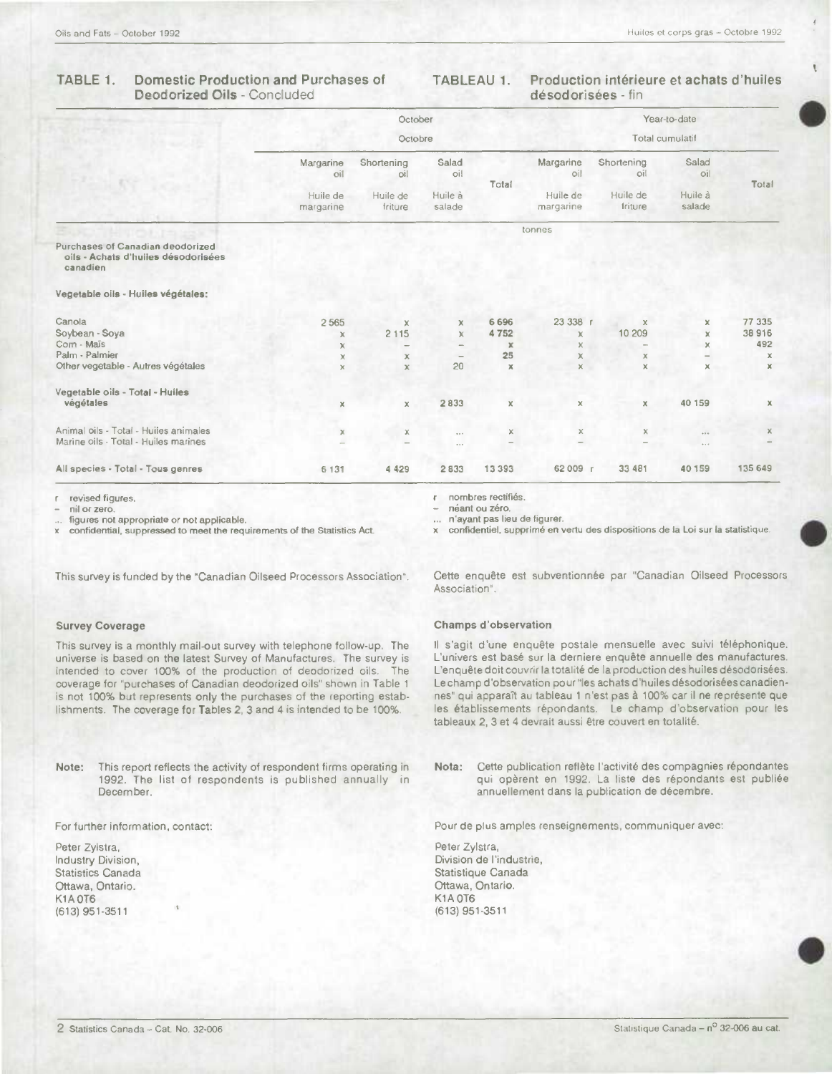# Deodorized Oils - Concluded

# TABLE 1. Domestic Production and Purchases of TABLEAU 1. Production intérieure et achats d'huiles

|                                                                                     |                       | October             |                   |             |                       |                     | Year-to-date      |             |
|-------------------------------------------------------------------------------------|-----------------------|---------------------|-------------------|-------------|-----------------------|---------------------|-------------------|-------------|
|                                                                                     |                       | Octobre             |                   |             |                       |                     | Total cumulatif   |             |
|                                                                                     | Margarine<br>oil      | Shortening<br>oil   | Salad<br>oil      | Total       | Margarine<br>oil      | Shortening<br>oil   | Salad<br>oil      | Total       |
|                                                                                     | Huile de<br>margarine | Huile de<br>friture | Huile à<br>salade |             | Huile de<br>margarine | Huile de<br>friture | Huile à<br>salade |             |
|                                                                                     |                       |                     |                   |             | tonnes                |                     |                   |             |
| Purchases of Canadian deodorized<br>oils - Achats d'huiles désodorisées<br>canadien |                       |                     |                   |             |                       |                     |                   |             |
| Vegetable oils - Huiles végétales:                                                  |                       |                     |                   |             |                       |                     |                   |             |
| Canola                                                                              | 2565                  | x                   | $\pmb{\times}$    | 6696        | 23 338 r              | $\mathbb X$         | x                 | 77 335      |
| Soybean - Soya                                                                      | x                     | 2 1 1 5             | $\chi$            | 4752        | $\chi$                | 10 209              | ×                 | 38 916      |
| Corn - Mais                                                                         | x                     | -                   | -                 | x           | x                     |                     | ×                 | 492         |
| Palm - Palmier                                                                      | x                     | х                   | -                 | 25          | $\mathsf{\chi}$       | $\mathbb X$         |                   | х           |
| Other vegetable - Autres végétales                                                  | ×                     | $\mathbf x$         | 20                | $\mathbb X$ | $\mathsf X$           | x                   | x                 | $\mathbf x$ |
| Vegetable oils - Total - Huiles                                                     |                       |                     |                   |             |                       |                     |                   |             |
| végétales                                                                           | $\pmb{\chi}$          | X                   | 2833              | x           | $\mathsf X$           | $\mathbf x$         | 40 159            | $\mathbf x$ |
| Animal oils - Total - Huiles animales                                               | x                     | х                   | $\cdots$          | X           | $\mathbb X$           | ×                   | $\cdots$          | $\mathbb X$ |
| Marine oils - Total - Huiles marines                                                |                       |                     |                   |             |                       |                     | $\cdots$          |             |
| All species - Total - Tous genres                                                   | 6 1 3 1               | 4 4 2 9             | 2833              | 13393       | 62 009 r              | 33 481              | 40 159            | 135 649     |

- nil or zero, en antico de la componente de la componente de la componente de la componente de la componente de la componente de la componente de la componente de la componente de la componente de la componente de la comp

figures not appropriate or not applicable.<br>
confidential, suppressed to meet the requirements of the Statistics Act. <br>
x confidentiel, supprimé en v

revised figures.<br>
r nombres rectifiés.<br>
r néant ou zéro,<br>
r néant ou zéro,

confidentiel, supprimé en vertu des dispositions de la Loi sur la statistique.

This survey is a monthly mail-out survey with telephone follow-up. The universe is based on the latest Survey of Manufactures. The survey is intended to cover 100% of the production of deodorized oils. The coverage for "purchases of Canadian deodorized oils" shown in Table 1 is not 100% but represents only the purchases of the reporting establishments. The coverage for Tables 2, 3 and 4 is intended to be 100%.

Peter Zylstra, Peter Zylstra, Ottawa, Ontario. Ottawa, Ontario. K1AOT6 K1AOT6 (613)951-3511 (613)951-3511

This survey is funded by the "Canadian Oilseed Processors Association". Cette enquête est subventionnée par "Canadian Oilseed Processors Association".

### Survey Coverage Champs d'observation

Il s'agit d'une enquête postale mensuelle avec suivi téléphonique. L'univers est basé sur la derniere enquête annuelle des manufactures. L'enquete doit couvrir Ia totalité de Ia production des huiles désodorisées. Le champ d'observation pour "les achats d'huiles désodorisées canadiennes" qui apparaît au tableau 1 n'est pas à 100% car il ne représente que les établissements répondants. Le champ d'observation pour les tableaux 2, 3 et 4 devrait aussi être couvert en totalité.

Note: This report reflects the activity of respondent firms operating in Nota: Cette publication reflète l'activité des compagnies répondantes 1992. The list of respondents is published annually in qui opèrent en 1992. La liste des répondants est publiée<br>December. annuellement dans la publication de décembre. annuellement dans la publication de décembre.

For further information, contact: Pour de plus amples renseignements, communiquer avec:

Division de l'industrie, Statistics Canada Statistique Canada Statistique Canada Statistique Canada Statistique Canada Statistique Canada<br>
Ottawa, Ontario.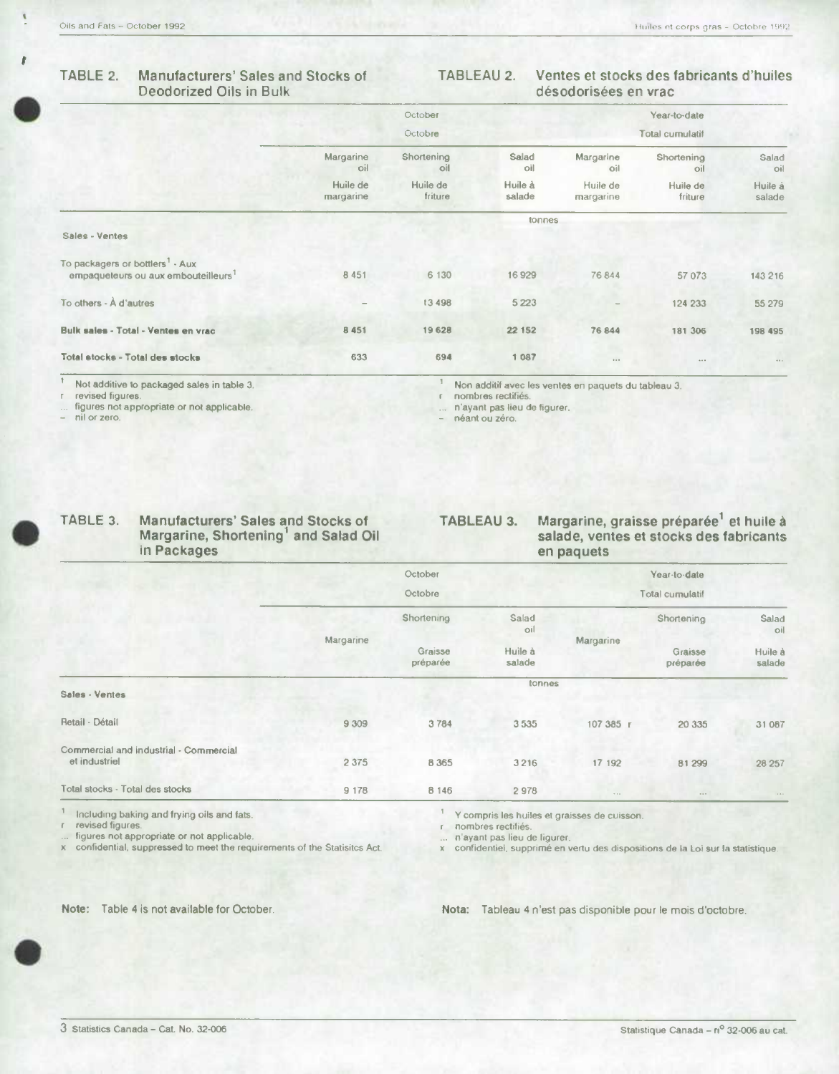**S** 

## **TABLE 2. Manufacturers' Sales and Stocks of** TABLEAU **2. Ventes et stocks des fabricants d'huiles Deodorized Oils in Bulk désodorisées en vrac**

|                                                                                                |                       | October             |                   |                       | Year-to-date        |                   |
|------------------------------------------------------------------------------------------------|-----------------------|---------------------|-------------------|-----------------------|---------------------|-------------------|
|                                                                                                |                       | Octobre             |                   |                       | Total cumulatif     |                   |
|                                                                                                | Margarine<br>oil      | Shortening<br>lio   | Salad<br>oil      | Margarine<br>oil      | Shortening<br>oil   | Salad<br>oil      |
|                                                                                                | Huile de<br>margarine | Huile de<br>friture | Huile à<br>salade | Huile de<br>margarine | Huile de<br>friture | Huile à<br>salade |
|                                                                                                |                       |                     | <b>tonnes</b>     |                       |                     |                   |
| Sales - Ventes                                                                                 |                       |                     |                   |                       |                     |                   |
| To packagers or bottlers <sup>1</sup> - Aux<br>empaqueteurs ou aux embouteilleurs <sup>1</sup> | 8 4 5 1               | 6 130               | 16929             | 76844                 | 57 073              | 143 216           |
| To others - À d'autres                                                                         |                       | 13 498              | 5 2 2 3           |                       | 124 233             | 55 279            |
| Bulk sales - Total - Ventes en vrac                                                            | 8 4 5 1               | 19 628              | 22 152            | 76 844                | 181 306             | 198 495           |
| Total stocks - Total des stocks                                                                | 633                   | 694                 | 1 0 8 7           | 0.0.0                 | 1.1.1               | $0.10 - 1.0$      |

<sup>1</sup> Not additive to packaged sales in table 3.

Non additif avec lea ventes en paquets du tableau 3. r nombres rectifiés.

 $\mathbb{I}$ 

n'ayant pas lieu de figurer.

néant ou zéro.

revised figures,

figures not appropriate or not applicable.

- nil or zero.

## **TABLE 3. Manufacturers' Sales and Stocks of Margarine, Shortening1 and Salad Oil**

# **TABLEAU 3. Margarine, graisse pr6par6e<sup>1</sup>et huile a**

## **salade, ventes et stocks des fabricants en paquets**

|                                                         |           | October             |                   |           | Year-to-date        |                   |
|---------------------------------------------------------|-----------|---------------------|-------------------|-----------|---------------------|-------------------|
|                                                         |           | Octobre             |                   |           | Total cumulatif     |                   |
|                                                         |           | Shortening          | Salad<br>oil      |           | Shortening          | Salad<br>oil      |
|                                                         | Margarine | Graisse<br>préparée | Huile à<br>salade | Margarine | Graisse<br>préparée | Huile à<br>salade |
| Sales - Ventes                                          |           |                     | tonnes            |           |                     |                   |
| Retail - Détail                                         | 9 3 0 9   | 3784                | 3535              | 107 385 г | 20 335              | 31 087            |
| Commercial and industrial - Commercial<br>et industriel | 2 3 7 5   | 8 3 6 5             | 3216              | 17 192    | 81 299              | 28 257            |
| Total stocks - Total des stocks                         | 9 1 7 8   | 8 1 4 6             | 2978              | 1.14      | $\cdots$            | 1.0.1             |

**S** 

r revised figures. r nombres rectiliés. figures not appropriate or not applicable. ... n'ayant pas lieu de figurer.

Including baking and frying oils and fats.<br>  $\frac{1}{1}$  Y compris les huiles et graisses de cuisson.<br>
revised figures.<br>
revised figures.

x confidential, suppressed to meet the requirements of the Statistics Act. x confidential. supprimé en vertu des dispositions de Ia Loi sur Ia stalistique.

Note: Table 4 is not available for October. Nota: Tableau 4 n'est pas disponible pour le mois d'octobre.